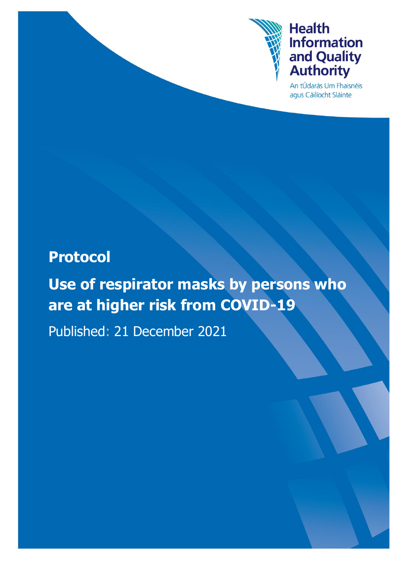

An tÚdarás Um Fhaisnéis agus Cáilíocht Sláinte

# **Protocol**

**Use of respirator masks by persons who are at higher risk from COVID-19**

Published: 21 December 2021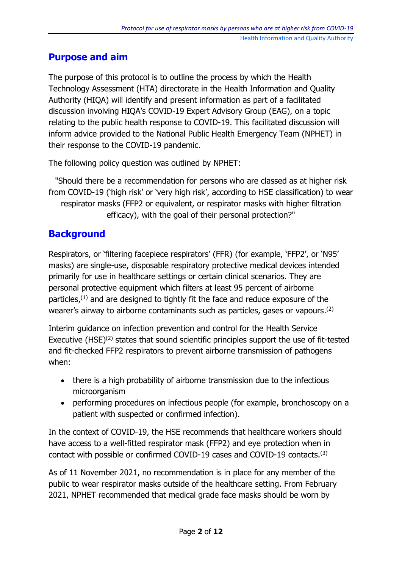#### **Purpose and aim**

The purpose of this protocol is to outline the process by which the Health Technology Assessment (HTA) directorate in the Health Information and Quality Authority (HIQA) will identify and present information as part of a facilitated discussion involving HIQA's COVID-19 Expert Advisory Group (EAG), on a topic relating to the public health response to COVID-19. This facilitated discussion will inform advice provided to the National Public Health Emergency Team (NPHET) in their response to the COVID-19 pandemic.

The following policy question was outlined by NPHET:

"Should there be a recommendation for persons who are classed as at higher risk from COVID-19 ('high risk' or 'very high risk', according to HSE classification) to wear respirator masks (FFP2 or equivalent, or respirator masks with higher filtration efficacy), with the goal of their personal protection?"

#### **Background**

Respirators, or 'filtering facepiece respirators' (FFR) (for example, 'FFP2', or 'N95' masks) are single-use, disposable respiratory protective medical devices intended primarily for use in healthcare settings or certain clinical scenarios. They are personal protective equipment which filters at least 95 percent of airborne particles, $(1)$  and are designed to tightly fit the face and reduce exposure of the wearer's airway to airborne contaminants such as particles, gases or vapours. (2)

Interim guidance on infection prevention and control for the Health Service Executive (HSE)<sup>(2)</sup> states that sound scientific principles support the use of fit-tested and fit-checked FFP2 respirators to prevent airborne transmission of pathogens when:

- there is a high probability of airborne transmission due to the infectious microorganism
- performing procedures on infectious people (for example, bronchoscopy on a patient with suspected or confirmed infection).

In the context of COVID-19, the HSE recommends that healthcare workers should have access to a well-fitted respirator mask (FFP2) and eye protection when in contact with possible or confirmed COVID-19 cases and COVID-19 contacts.(3)

As of 11 November 2021, no recommendation is in place for any member of the public to wear respirator masks outside of the healthcare setting. From February 2021, NPHET recommended that medical grade face masks should be worn by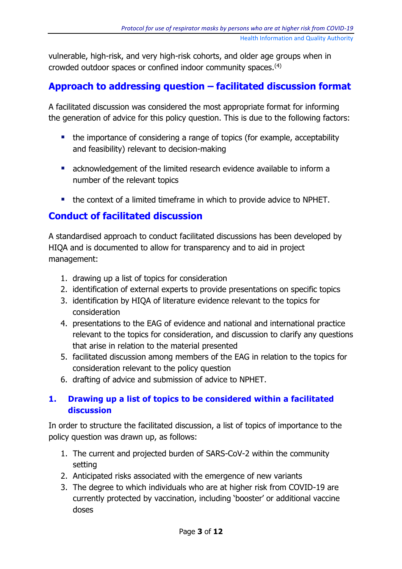vulnerable, high-risk, and very high-risk cohorts, and older age groups when in crowded outdoor spaces or confined indoor community spaces.(4)

#### **Approach to addressing question – facilitated discussion format**

A facilitated discussion was considered the most appropriate format for informing the generation of advice for this policy question. This is due to the following factors:

- the importance of considering a range of topics (for example, acceptability and feasibility) relevant to decision-making
- **E** acknowledgement of the limited research evidence available to inform a number of the relevant topics
- the context of a limited timeframe in which to provide advice to NPHET.

#### **Conduct of facilitated discussion**

A standardised approach to conduct facilitated discussions has been developed by HIQA and is documented to allow for transparency and to aid in project management:

- 1. drawing up a list of topics for consideration
- 2. identification of external experts to provide presentations on specific topics
- 3. identification by HIQA of literature evidence relevant to the topics for consideration
- 4. presentations to the EAG of evidence and national and international practice relevant to the topics for consideration, and discussion to clarify any questions that arise in relation to the material presented
- 5. facilitated discussion among members of the EAG in relation to the topics for consideration relevant to the policy question
- 6. drafting of advice and submission of advice to NPHET.

#### **1. Drawing up a list of topics to be considered within a facilitated discussion**

In order to structure the facilitated discussion, a list of topics of importance to the policy question was drawn up, as follows:

- 1. The current and projected burden of SARS-CoV-2 within the community setting
- 2. Anticipated risks associated with the emergence of new variants
- 3. The degree to which individuals who are at higher risk from COVID-19 are currently protected by vaccination, including 'booster' or additional vaccine doses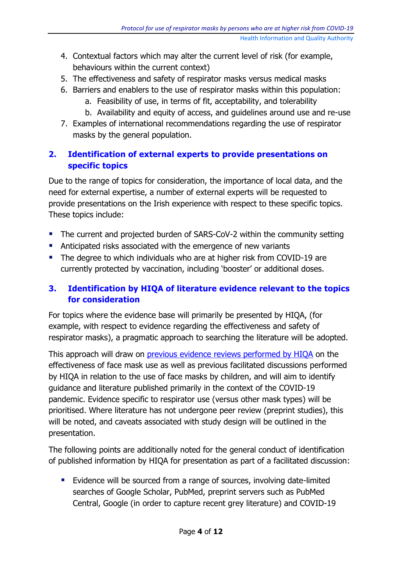- 4. Contextual factors which may alter the current level of risk (for example, behaviours within the current context)
- 5. The effectiveness and safety of respirator masks versus medical masks
- 6. Barriers and enablers to the use of respirator masks within this population:
	- a. Feasibility of use, in terms of fit, acceptability, and tolerability
	- b. Availability and equity of access, and guidelines around use and re-use
- 7. Examples of international recommendations regarding the use of respirator masks by the general population.

#### **2. Identification of external experts to provide presentations on specific topics**

Due to the range of topics for consideration, the importance of local data, and the need for external expertise, a number of external experts will be requested to provide presentations on the Irish experience with respect to these specific topics. These topics include:

- **The current and projected burden of SARS-CoV-2 within the community setting**
- **Anticipated risks associated with the emergence of new variants**
- **The degree to which individuals who are at higher risk from COVID-19 are** currently protected by vaccination, including 'booster' or additional doses.

#### **3. Identification by HIQA of literature evidence relevant to the topics for consideration**

For topics where the evidence base will primarily be presented by HIQA, (for example, with respect to evidence regarding the effectiveness and safety of respirator masks), a pragmatic approach to searching the literature will be adopted.

This approach will draw on [previous evidence reviews performed by HIQA](https://www.hiqa.ie/reports-and-publications/health-technology-assessment/face-mask-use-community-reduce-sars-cov-2) on the effectiveness of face mask use as well as previous facilitated discussions performed by HIQA in relation to the use of face masks by children, and will aim to identify guidance and literature published primarily in the context of the COVID-19 pandemic. Evidence specific to respirator use (versus other mask types) will be prioritised. Where literature has not undergone peer review (preprint studies), this will be noted, and caveats associated with study design will be outlined in the presentation.

The following points are additionally noted for the general conduct of identification of published information by HIQA for presentation as part of a facilitated discussion:

**Evidence will be sourced from a range of sources, involving date-limited** searches of Google Scholar, PubMed, preprint servers such as PubMed Central, Google (in order to capture recent grey literature) and COVID-19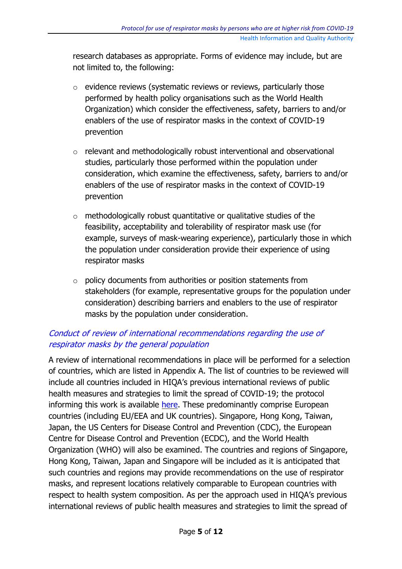research databases as appropriate. Forms of evidence may include, but are not limited to, the following:

- o evidence reviews (systematic reviews or reviews, particularly those performed by health policy organisations such as the World Health Organization) which consider the effectiveness, safety, barriers to and/or enablers of the use of respirator masks in the context of COVID-19 prevention
- o relevant and methodologically robust interventional and observational studies, particularly those performed within the population under consideration, which examine the effectiveness, safety, barriers to and/or enablers of the use of respirator masks in the context of COVID-19 prevention
- $\circ$  methodologically robust quantitative or qualitative studies of the feasibility, acceptability and tolerability of respirator mask use (for example, surveys of mask-wearing experience), particularly those in which the population under consideration provide their experience of using respirator masks
- o policy documents from authorities or position statements from stakeholders (for example, representative groups for the population under consideration) describing barriers and enablers to the use of respirator masks by the population under consideration.

#### Conduct of review of international recommendations regarding the use of respirator masks by the general population

A review of international recommendations in place will be performed for a selection of countries, which are listed in Appendix A. The list of countries to be reviewed will include all countries included in HIQA's previous international reviews of public health measures and strategies to limit the spread of COVID-19; the protocol informing this work is available [here.](https://www.hiqa.ie/sites/default/files/2020-11/Public-health-measures-and-strategies-to-COVID-19_protocol.pdf) These predominantly comprise European countries (including EU/EEA and UK countries). Singapore, Hong Kong, Taiwan, Japan, the US Centers for Disease Control and Prevention (CDC), the European Centre for Disease Control and Prevention (ECDC), and the World Health Organization (WHO) will also be examined. The countries and regions of Singapore, Hong Kong, Taiwan, Japan and Singapore will be included as it is anticipated that such countries and regions may provide recommendations on the use of respirator masks, and represent locations relatively comparable to European countries with respect to health system composition. As per the approach used in HIQA's previous international reviews of public health measures and strategies to limit the spread of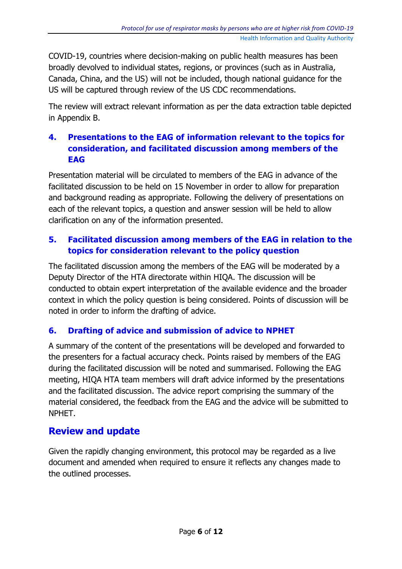COVID-19, countries where decision-making on public health measures has been broadly devolved to individual states, regions, or provinces (such as in Australia, Canada, China, and the US) will not be included, though national guidance for the US will be captured through review of the US CDC recommendations.

The review will extract relevant information as per the data extraction table depicted in Appendix B.

#### **4. Presentations to the EAG of information relevant to the topics for consideration, and facilitated discussion among members of the EAG**

Presentation material will be circulated to members of the EAG in advance of the facilitated discussion to be held on 15 November in order to allow for preparation and background reading as appropriate. Following the delivery of presentations on each of the relevant topics, a question and answer session will be held to allow clarification on any of the information presented.

#### **5. Facilitated discussion among members of the EAG in relation to the topics for consideration relevant to the policy question**

The facilitated discussion among the members of the EAG will be moderated by a Deputy Director of the HTA directorate within HIQA. The discussion will be conducted to obtain expert interpretation of the available evidence and the broader context in which the policy question is being considered. Points of discussion will be noted in order to inform the drafting of advice.

#### **6. Drafting of advice and submission of advice to NPHET**

A summary of the content of the presentations will be developed and forwarded to the presenters for a factual accuracy check. Points raised by members of the EAG during the facilitated discussion will be noted and summarised. Following the EAG meeting, HIQA HTA team members will draft advice informed by the presentations and the facilitated discussion. The advice report comprising the summary of the material considered, the feedback from the EAG and the advice will be submitted to NPHET.

#### **Review and update**

Given the rapidly changing environment, this protocol may be regarded as a live document and amended when required to ensure it reflects any changes made to the outlined processes.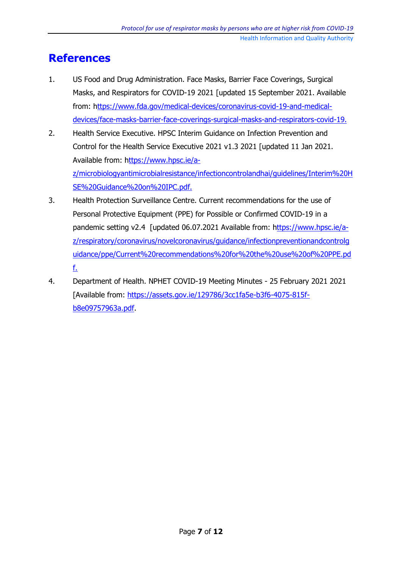### **References**

- 1. US Food and Drug Administration. Face Masks, Barrier Face Coverings, Surgical Masks, and Respirators for COVID-19 2021 [updated 15 September 2021. Available from: [https://www.fda.gov/medical-devices/coronavirus-covid-19-and-medical](ttps://www.fda.gov/medical-devices/coronavirus-covid-19-and-medical-devices/face-masks-barrier-face-coverings-surgical-masks-and-respirators-covid-19.)[devices/face-masks-barrier-face-coverings-surgical-masks-and-respirators-covid-19.](ttps://www.fda.gov/medical-devices/coronavirus-covid-19-and-medical-devices/face-masks-barrier-face-coverings-surgical-masks-and-respirators-covid-19.)
- 2. Health Service Executive. HPSC Interim Guidance on Infection Prevention and Control for the Health Service Executive 2021 v1.3 2021 [updated 11 Jan 2021. Available from: [https://www.hpsc.ie/a](ttps://www.hpsc.ie/a-z/microbiologyantimicrobialresistance/infectioncontrolandhai/guidelines/Interim%20HSE%20Guidance%20on%20IPC.pdf.)[z/microbiologyantimicrobialresistance/infectioncontrolandhai/guidelines/Interim%20H](ttps://www.hpsc.ie/a-z/microbiologyantimicrobialresistance/infectioncontrolandhai/guidelines/Interim%20HSE%20Guidance%20on%20IPC.pdf.) [SE%20Guidance%20on%20IPC.pdf.](ttps://www.hpsc.ie/a-z/microbiologyantimicrobialresistance/infectioncontrolandhai/guidelines/Interim%20HSE%20Guidance%20on%20IPC.pdf.)
- 3. Health Protection Surveillance Centre. Current recommendations for the use of Personal Protective Equipment (PPE) for Possible or Confirmed COVID-19 in a pandemic setting v2.4 [updated 06.07.2021 Available from: [https://www.hpsc.ie/a](ttps://www.hpsc.ie/a-z/respiratory/coronavirus/novelcoronavirus/guidance/infectionpreventionandcontrolguidance/ppe/Current%20recommendations%20for%20the%20use%20of%20PPE.pdf.)[z/respiratory/coronavirus/novelcoronavirus/guidance/infectionpreventionandcontrolg](ttps://www.hpsc.ie/a-z/respiratory/coronavirus/novelcoronavirus/guidance/infectionpreventionandcontrolguidance/ppe/Current%20recommendations%20for%20the%20use%20of%20PPE.pdf.) [uidance/ppe/Current%20recommendations%20for%20the%20use%20of%20PPE.pd](ttps://www.hpsc.ie/a-z/respiratory/coronavirus/novelcoronavirus/guidance/infectionpreventionandcontrolguidance/ppe/Current%20recommendations%20for%20the%20use%20of%20PPE.pdf.) [f.](ttps://www.hpsc.ie/a-z/respiratory/coronavirus/novelcoronavirus/guidance/infectionpreventionandcontrolguidance/ppe/Current%20recommendations%20for%20the%20use%20of%20PPE.pdf.)
- 4. Department of Health. NPHET COVID-19 Meeting Minutes 25 February 2021 2021 [Available from: [https://assets.gov.ie/129786/3cc1fa5e-b3f6-4075-815f](https://assets.gov.ie/129786/3cc1fa5e-b3f6-4075-815f-b8e09757963a.pdf)[b8e09757963a.pdf.](https://assets.gov.ie/129786/3cc1fa5e-b3f6-4075-815f-b8e09757963a.pdf)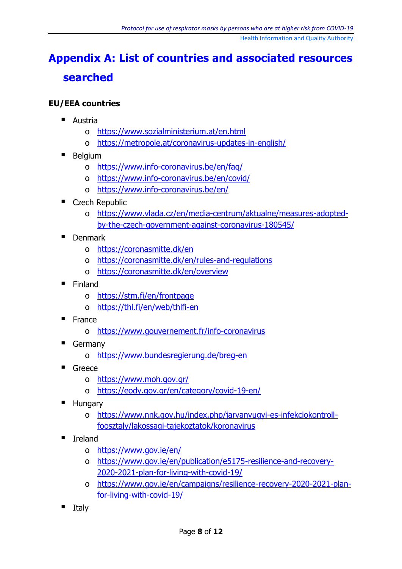## **Appendix A: List of countries and associated resources searched**

#### **EU/EEA countries**

- **Austria** 
	- o <https://www.sozialministerium.at/en.html>
	- o <https://metropole.at/coronavirus-updates-in-english/>
- **Belgium** 
	- o <https://www.info-coronavirus.be/en/faq/>
	- o <https://www.info-coronavirus.be/en/covid/>
	- o <https://www.info-coronavirus.be/en/>
- Czech Republic
	- o [https://www.vlada.cz/en/media-centrum/aktualne/measures-adopted](https://www.vlada.cz/en/media-centrum/aktualne/measures-adopted-by-the-czech-government-against-coronavirus-180545/)[by-the-czech-government-against-coronavirus-180545/](https://www.vlada.cz/en/media-centrum/aktualne/measures-adopted-by-the-czech-government-against-coronavirus-180545/)
- **Denmark** 
	- o <https://coronasmitte.dk/en>
	- o <https://coronasmitte.dk/en/rules-and-regulations>
	- o <https://coronasmitte.dk/en/overview>
- $\blacksquare$  Finland
	- o <https://stm.fi/en/frontpage>
	- o <https://thl.fi/en/web/thlfi-en>
- **France** 
	- o <https://www.gouvernement.fr/info-coronavirus>
- Germany
	- o <https://www.bundesregierung.de/breg-en>
- $G$ reece
	- o <https://www.moh.gov.gr/>
	- o <https://eody.gov.gr/en/category/covid-19-en/>
- **Hungary** 
	- o [https://www.nnk.gov.hu/index.php/jarvanyugyi-es-infekciokontroll](https://www.nnk.gov.hu/index.php/jarvanyugyi-es-infekciokontroll-foosztaly/lakossagi-tajekoztatok/koronavirus)[foosztaly/lakossagi-tajekoztatok/koronavirus](https://www.nnk.gov.hu/index.php/jarvanyugyi-es-infekciokontroll-foosztaly/lakossagi-tajekoztatok/koronavirus)
- Ireland
	- o <https://www.gov.ie/en/>
	- o [https://www.gov.ie/en/publication/e5175-resilience-and-recovery-](https://www.gov.ie/en/publication/e5175-resilience-and-recovery-2020-2021-plan-for-living-with-covid-19/)[2020-2021-plan-for-living-with-covid-19/](https://www.gov.ie/en/publication/e5175-resilience-and-recovery-2020-2021-plan-for-living-with-covid-19/)
	- o [https://www.gov.ie/en/campaigns/resilience-recovery-2020-2021-plan](https://www.gov.ie/en/campaigns/resilience-recovery-2020-2021-plan-for-living-with-covid-19/)[for-living-with-covid-19/](https://www.gov.ie/en/campaigns/resilience-recovery-2020-2021-plan-for-living-with-covid-19/)
- Italy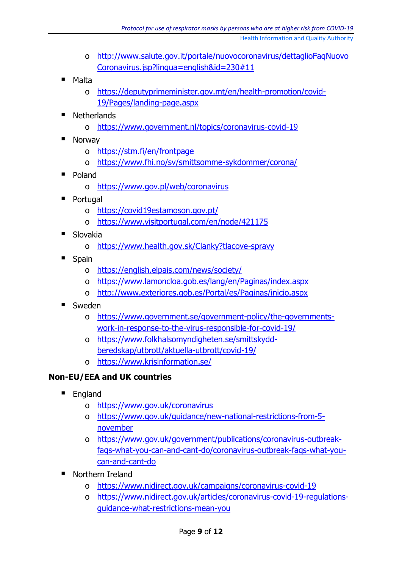- o [http://www.salute.gov.it/portale/nuovocoronavirus/dettaglioFaqNuovo](http://www.salute.gov.it/portale/nuovocoronavirus/dettaglioFaqNuovoCoronavirus.jsp?lingua=english&id=230#11) [Coronavirus.jsp?lingua=english&id=230#11](http://www.salute.gov.it/portale/nuovocoronavirus/dettaglioFaqNuovoCoronavirus.jsp?lingua=english&id=230#11)
- Malta
	- o [https://deputyprimeminister.gov.mt/en/health-promotion/covid-](https://deputyprimeminister.gov.mt/en/health-promotion/covid-19/Pages/landing-page.aspx)[19/Pages/landing-page.aspx](https://deputyprimeminister.gov.mt/en/health-promotion/covid-19/Pages/landing-page.aspx)
- **Netherlands** 
	- o <https://www.government.nl/topics/coronavirus-covid-19>
- **Norway** 
	- o <https://stm.fi/en/frontpage>
	- o <https://www.fhi.no/sv/smittsomme-sykdommer/corona/>
- Poland
	- o <https://www.gov.pl/web/coronavirus>
- **Portugal** 
	- o <https://covid19estamoson.gov.pt/>
	- o <https://www.visitportugal.com/en/node/421175>
- Slovakia
	- o <https://www.health.gov.sk/Clanky?tlacove-spravy>
- Spain
	- o <https://english.elpais.com/news/society/>
	- o <https://www.lamoncloa.gob.es/lang/en/Paginas/index.aspx>
	- o <http://www.exteriores.gob.es/Portal/es/Paginas/inicio.aspx>
- Sweden
	- o [https://www.government.se/government-policy/the-governments](https://www.government.se/government-policy/the-governments-work-in-response-to-the-virus-responsible-for-covid-19/)[work-in-response-to-the-virus-responsible-for-covid-19/](https://www.government.se/government-policy/the-governments-work-in-response-to-the-virus-responsible-for-covid-19/)
	- o [https://www.folkhalsomyndigheten.se/smittskydd](https://www.folkhalsomyndigheten.se/smittskydd-beredskap/utbrott/aktuella-utbrott/covid-19/)[beredskap/utbrott/aktuella-utbrott/covid-19/](https://www.folkhalsomyndigheten.se/smittskydd-beredskap/utbrott/aktuella-utbrott/covid-19/)
	- o <https://www.krisinformation.se/>

#### **Non-EU/EEA and UK countries**

- **England** 
	- o <https://www.gov.uk/coronavirus>
	- o [https://www.gov.uk/guidance/new-national-restrictions-from-5](https://www.gov.uk/guidance/new-national-restrictions-from-5-november) [november](https://www.gov.uk/guidance/new-national-restrictions-from-5-november)
	- o [https://www.gov.uk/government/publications/coronavirus-outbreak](https://www.gov.uk/government/publications/coronavirus-outbreak-faqs-what-you-can-and-cant-do/coronavirus-outbreak-faqs-what-you-can-and-cant-do)[faqs-what-you-can-and-cant-do/coronavirus-outbreak-faqs-what-you](https://www.gov.uk/government/publications/coronavirus-outbreak-faqs-what-you-can-and-cant-do/coronavirus-outbreak-faqs-what-you-can-and-cant-do)[can-and-cant-do](https://www.gov.uk/government/publications/coronavirus-outbreak-faqs-what-you-can-and-cant-do/coronavirus-outbreak-faqs-what-you-can-and-cant-do)
- Northern Ireland
	- o <https://www.nidirect.gov.uk/campaigns/coronavirus-covid-19>
	- o [https://www.nidirect.gov.uk/articles/coronavirus-covid-19-regulations](https://www.nidirect.gov.uk/articles/coronavirus-covid-19-regulations-guidance-what-restrictions-mean-you)[guidance-what-restrictions-mean-you](https://www.nidirect.gov.uk/articles/coronavirus-covid-19-regulations-guidance-what-restrictions-mean-you)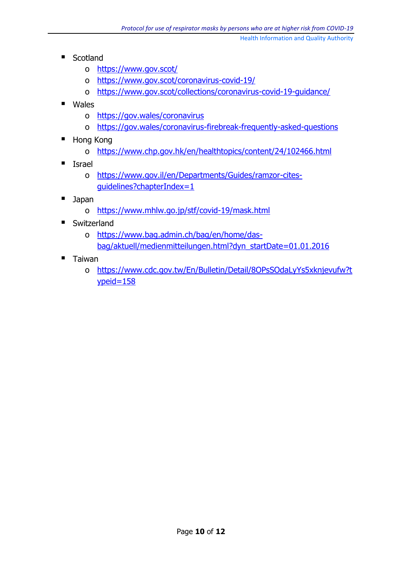- Scotland
	- o <https://www.gov.scot/>
	- o <https://www.gov.scot/coronavirus-covid-19/>
	- o <https://www.gov.scot/collections/coronavirus-covid-19-guidance/>
- Wales
	- o <https://gov.wales/coronavirus>
	- o <https://gov.wales/coronavirus-firebreak-frequently-asked-questions>
- Hong Kong
	- o <https://www.chp.gov.hk/en/healthtopics/content/24/102466.html>
- **I**srael
	- o [https://www.gov.il/en/Departments/Guides/ramzor-cites](https://www.gov.il/en/Departments/Guides/ramzor-cites-guidelines?chapterIndex=1)[guidelines?chapterIndex=1](https://www.gov.il/en/Departments/Guides/ramzor-cites-guidelines?chapterIndex=1)
- Japan
	- o <https://www.mhlw.go.jp/stf/covid-19/mask.html>
- **Switzerland** 
	- o [https://www.bag.admin.ch/bag/en/home/das](https://www.bag.admin.ch/bag/en/home/das-bag/aktuell/medienmitteilungen.html?dyn_startDate=01.01.2016)[bag/aktuell/medienmitteilungen.html?dyn\\_startDate=01.01.2016](https://www.bag.admin.ch/bag/en/home/das-bag/aktuell/medienmitteilungen.html?dyn_startDate=01.01.2016)
- $\blacksquare$  Taiwan
	- o [https://www.cdc.gov.tw/En/Bulletin/Detail/8OPsSOdaLyYs5xknjevufw?t](https://www.cdc.gov.tw/En/Bulletin/Detail/8OPsSOdaLyYs5xknjevufw?typeid=158) [ypeid=158](https://www.cdc.gov.tw/En/Bulletin/Detail/8OPsSOdaLyYs5xknjevufw?typeid=158)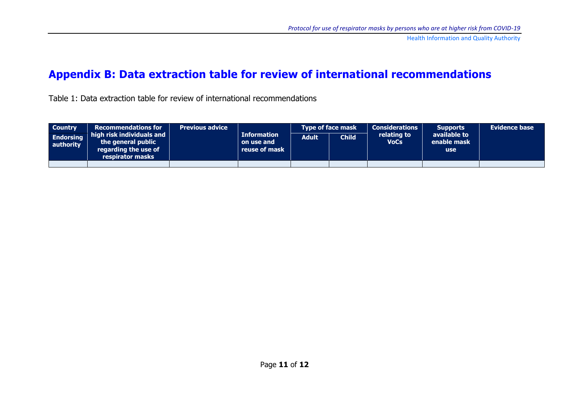### **Appendix B: Data extraction table for review of international recommendations**

Table 1: Data extraction table for review of international recommendations

| <b>Country</b>                | <b>Recommendations for</b><br>$\parallel$ high risk individuals and $\parallel$<br>the general public<br>regarding the use of<br>respirator masks | <b>Previous advice</b> | <b>Information</b><br>on use and<br>reuse of mask | <b>Type of face mask</b> |                    | <b>Considerations</b>      | <b>Supports</b>                           | <b>Evidence base</b> |
|-------------------------------|---------------------------------------------------------------------------------------------------------------------------------------------------|------------------------|---------------------------------------------------|--------------------------|--------------------|----------------------------|-------------------------------------------|----------------------|
| <b>Endorsing</b><br>authority |                                                                                                                                                   |                        |                                                   | <b>Adult</b>             | Child <sup>1</sup> | relating to<br><b>VoCs</b> | available to<br>enable mask<br><b>use</b> |                      |
|                               |                                                                                                                                                   |                        |                                                   |                          |                    |                            |                                           |                      |